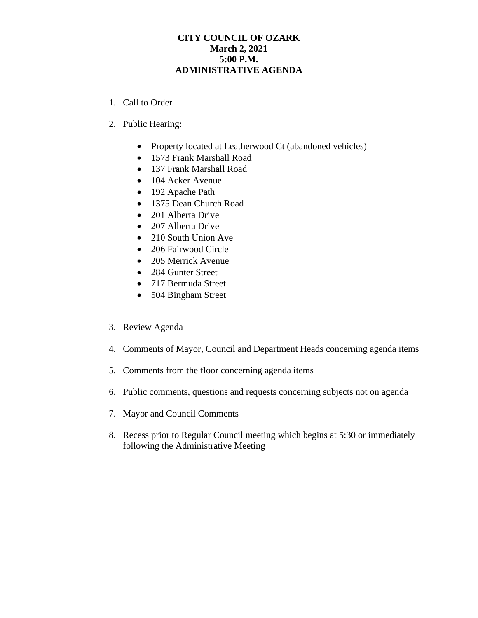## **CITY COUNCIL OF OZARK March 2, 2021 5:00 P.M. ADMINISTRATIVE AGENDA**

- 1. Call to Order
- 2. Public Hearing:
	- Property located at Leatherwood Ct (abandoned vehicles)
	- 1573 Frank Marshall Road
	- 137 Frank Marshall Road
	- 104 Acker Avenue
	- 192 Apache Path
	- 1375 Dean Church Road
	- 201 Alberta Drive
	- 207 Alberta Drive
	- 210 South Union Ave
	- 206 Fairwood Circle
	- 205 Merrick Avenue
	- 284 Gunter Street
	- 717 Bermuda Street
	- 504 Bingham Street
- 3. Review Agenda
- 4. Comments of Mayor, Council and Department Heads concerning agenda items
- 5. Comments from the floor concerning agenda items
- 6. Public comments, questions and requests concerning subjects not on agenda
- 7. Mayor and Council Comments
- 8. Recess prior to Regular Council meeting which begins at 5:30 or immediately following the Administrative Meeting